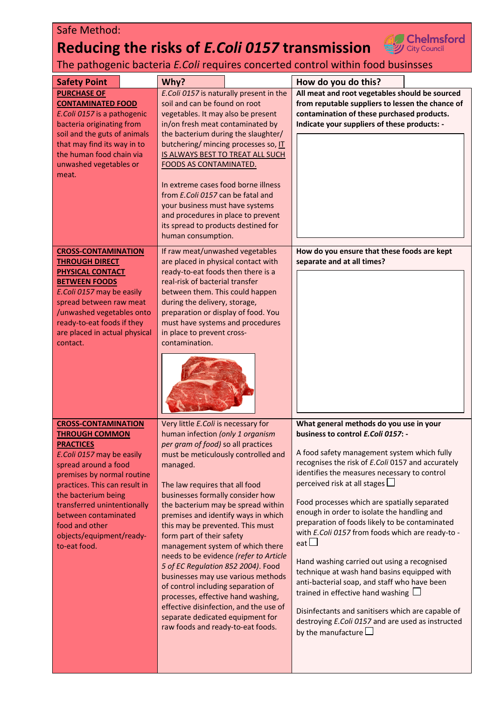## Safe Method:

## **Reducing the risks of** *E.Coli 0157* **transmission**



The pathogenic bacteria *E.Coli* requires concerted control within food businsses

| <b>Safety Point</b>                                     | Why?                                                                    | How do you do this?                               |  |
|---------------------------------------------------------|-------------------------------------------------------------------------|---------------------------------------------------|--|
| <b>PURCHASE OF</b>                                      | E.Coli 0157 is naturally present in the                                 | All meat and root vegetables should be sourced    |  |
| <b>CONTAMINATED FOOD</b>                                | soil and can be found on root                                           | from reputable suppliers to lessen the chance of  |  |
| E. Coli 0157 is a pathogenic                            | vegetables. It may also be present                                      | contamination of these purchased products.        |  |
| bacteria originating from                               | in/on fresh meat contaminated by<br>the bacterium during the slaughter/ | Indicate your suppliers of these products: -      |  |
| soil and the guts of animals                            |                                                                         |                                                   |  |
| that may find its way in to<br>the human food chain via | butchering/ mincing processes so, IT                                    |                                                   |  |
|                                                         | IS ALWAYS BEST TO TREAT ALL SUCH                                        |                                                   |  |
| unwashed vegetables or                                  | <b>FOODS AS CONTAMINATED.</b>                                           |                                                   |  |
| meat.                                                   | In extreme cases food borne illness                                     |                                                   |  |
|                                                         |                                                                         |                                                   |  |
|                                                         | from E.Coli 0157 can be fatal and<br>your business must have systems    |                                                   |  |
|                                                         | and procedures in place to prevent                                      |                                                   |  |
|                                                         | its spread to products destined for                                     |                                                   |  |
|                                                         | human consumption.                                                      |                                                   |  |
|                                                         |                                                                         |                                                   |  |
| <b>CROSS-CONTAMINATION</b>                              | If raw meat/unwashed vegetables                                         | How do you ensure that these foods are kept       |  |
| <b>THROUGH DIRECT</b>                                   | are placed in physical contact with                                     | separate and at all times?                        |  |
| <b>PHYSICAL CONTACT</b>                                 | ready-to-eat foods then there is a                                      |                                                   |  |
| <b>BETWEEN FOODS</b>                                    | real-risk of bacterial transfer                                         |                                                   |  |
| E. Coli 0157 may be easily                              | between them. This could happen                                         |                                                   |  |
| spread between raw meat                                 | during the delivery, storage,                                           |                                                   |  |
| /unwashed vegetables onto                               | preparation or display of food. You                                     |                                                   |  |
| ready-to-eat foods if they                              | must have systems and procedures                                        |                                                   |  |
| are placed in actual physical                           | in place to prevent cross-                                              |                                                   |  |
| contact.                                                | contamination.                                                          |                                                   |  |
|                                                         |                                                                         |                                                   |  |
|                                                         |                                                                         |                                                   |  |
|                                                         |                                                                         |                                                   |  |
|                                                         |                                                                         |                                                   |  |
|                                                         |                                                                         |                                                   |  |
|                                                         |                                                                         |                                                   |  |
| <b>CROSS-CONTAMINATION</b>                              | Very little E.Coli is necessary for                                     | What general methods do you use in your           |  |
| <b>THROUGH COMMON</b>                                   | human infection (only 1 organism                                        | business to control E.Coli 0157: -                |  |
| <b>PRACTICES</b>                                        | per gram of food) so all practices                                      |                                                   |  |
| E. Coli 0157 may be easily                              | must be meticulously controlled and                                     | A food safety management system which fully       |  |
| spread around a food                                    | managed.                                                                | recognises the risk of E.Coli 0157 and accurately |  |
| premises by normal routine                              |                                                                         | identifies the measures necessary to control      |  |
| practices. This can result in                           | The law requires that all food                                          | perceived risk at all stages $\Box$               |  |
| the bacterium being                                     | businesses formally consider how                                        |                                                   |  |
| transferred unintentionally                             | the bacterium may be spread within                                      | Food processes which are spatially separated      |  |
| between contaminated                                    | premises and identify ways in which                                     | enough in order to isolate the handling and       |  |
| food and other                                          | this may be prevented. This must                                        | preparation of foods likely to be contaminated    |  |
| objects/equipment/ready-                                | form part of their safety                                               | with E.Coli 0157 from foods which are ready-to -  |  |
| to-eat food.                                            | management system of which there                                        | eat $\Box$                                        |  |
|                                                         | needs to be evidence (refer to Article                                  |                                                   |  |
|                                                         | 5 of EC Regulation 852 2004). Food                                      | Hand washing carried out using a recognised       |  |
|                                                         | businesses may use various methods                                      | technique at wash hand basins equipped with       |  |
|                                                         | of control including separation of                                      | anti-bacterial soap, and staff who have been      |  |
|                                                         | processes, effective hand washing,                                      | trained in effective hand washing $\Box$          |  |
|                                                         | effective disinfection, and the use of                                  |                                                   |  |
|                                                         | separate dedicated equipment for                                        | Disinfectants and sanitisers which are capable of |  |
|                                                         | raw foods and ready-to-eat foods.                                       | destroying E.Coli 0157 and are used as instructed |  |
|                                                         |                                                                         | by the manufacture $\Box$                         |  |
|                                                         |                                                                         |                                                   |  |
|                                                         |                                                                         |                                                   |  |
|                                                         |                                                                         |                                                   |  |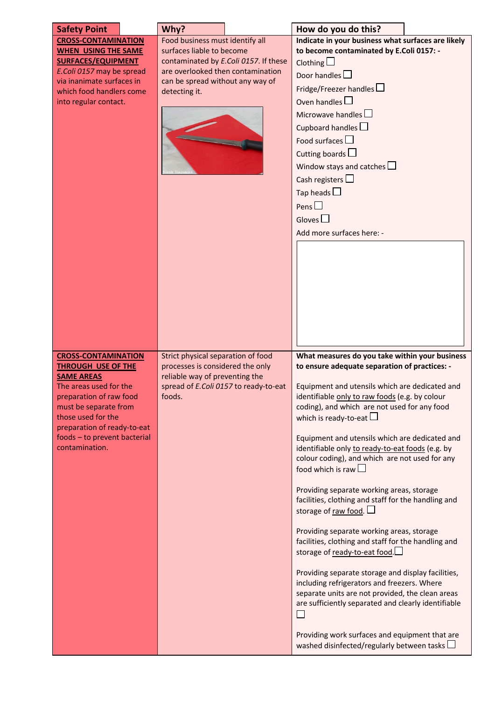| <b>Safety Point</b>                                                                                                                                                                                                                                               | Why?                                                                                                                                                                                            | How do you do this?                                                                                                                                                                                                                                                                                                                                                                                                                                                                                                                                                                                                                                                                                                                                                                                                                                                                                                                                                                                                                                                    |
|-------------------------------------------------------------------------------------------------------------------------------------------------------------------------------------------------------------------------------------------------------------------|-------------------------------------------------------------------------------------------------------------------------------------------------------------------------------------------------|------------------------------------------------------------------------------------------------------------------------------------------------------------------------------------------------------------------------------------------------------------------------------------------------------------------------------------------------------------------------------------------------------------------------------------------------------------------------------------------------------------------------------------------------------------------------------------------------------------------------------------------------------------------------------------------------------------------------------------------------------------------------------------------------------------------------------------------------------------------------------------------------------------------------------------------------------------------------------------------------------------------------------------------------------------------------|
| <b>CROSS-CONTAMINATION</b><br><b>WHEN USING THE SAME</b><br><b>SURFACES/EQUIPMENT</b><br>E. Coli 0157 may be spread<br>via inanimate surfaces in<br>which food handlers come<br>into regular contact.                                                             | Food business must identify all<br>surfaces liable to become<br>contaminated by E.Coli 0157. If these<br>are overlooked then contamination<br>can be spread without any way of<br>detecting it. | Indicate in your business what surfaces are likely<br>to become contaminated by E.Coli 0157: -<br>Clothing $\Box$<br>Door handles $\square$<br>Fridge/Freezer handles<br>Oven handles $\Box$<br>Microwave handles $\Box$<br>Cupboard handles $\square$<br>Food surfaces $\square$<br>Cutting boards $\Box$<br>Window stays and catches $\Box$<br>Cash registers $\square$<br>Tap heads $\square$<br>Pens $\square$<br>Gloves $\Box$<br>Add more surfaces here: -                                                                                                                                                                                                                                                                                                                                                                                                                                                                                                                                                                                                       |
| <b>CROSS-CONTAMINATION</b><br><b>THROUGH USE OF THE</b><br><b>SAME AREAS</b><br>The areas used for the<br>preparation of raw food<br>must be separate from<br>those used for the<br>preparation of ready-to-eat<br>foods - to prevent bacterial<br>contamination. | Strict physical separation of food<br>processes is considered the only<br>reliable way of preventing the<br>spread of E.Coli 0157 to ready-to-eat<br>foods.                                     | What measures do you take within your business<br>to ensure adequate separation of practices: -<br>Equipment and utensils which are dedicated and<br>identifiable only to raw foods (e.g. by colour<br>coding), and which are not used for any food<br>which is ready-to-eat $\Box$<br>Equipment and utensils which are dedicated and<br>identifiable only to ready-to-eat foods (e.g. by<br>colour coding), and which are not used for any<br>food which is raw $\Box$<br>Providing separate working areas, storage<br>facilities, clothing and staff for the handling and<br>storage of raw food. $\Box$<br>Providing separate working areas, storage<br>facilities, clothing and staff for the handling and<br>storage of ready-to-eat food.<br>Providing separate storage and display facilities,<br>including refrigerators and freezers. Where<br>separate units are not provided, the clean areas<br>are sufficiently separated and clearly identifiable<br>Providing work surfaces and equipment that are<br>washed disinfected/regularly between tasks $\Box$ |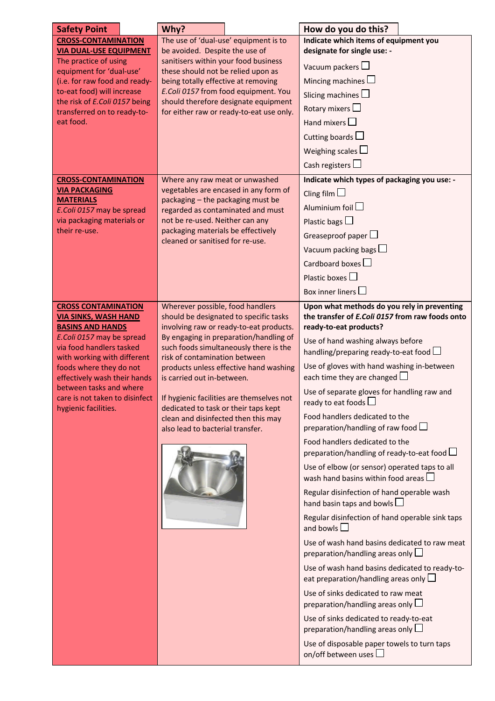| <b>Safety Point</b>                                     | Why?                                                                                                            | How do you do this?                                                                     |  |
|---------------------------------------------------------|-----------------------------------------------------------------------------------------------------------------|-----------------------------------------------------------------------------------------|--|
| <b>CROSS-CONTAMINATION</b>                              | The use of 'dual-use' equipment is to                                                                           | Indicate which items of equipment you                                                   |  |
| <b>VIA DUAL-USE EQUIPMENT</b>                           | be avoided. Despite the use of                                                                                  | designate for single use: -                                                             |  |
| The practice of using<br>equipment for 'dual-use'       | sanitisers within your food business<br>these should not be relied upon as                                      | Vacuum packers $\square$                                                                |  |
| (i.e. for raw food and ready-                           | being totally effective at removing                                                                             | Mincing machines $\Box$                                                                 |  |
| to-eat food) will increase                              | E.Coli 0157 from food equipment. You                                                                            | Slicing machines $\Box$                                                                 |  |
| the risk of E.Coli 0157 being                           | should therefore designate equipment                                                                            | Rotary mixers $\square$                                                                 |  |
| transferred on to ready-to-<br>eat food.                | for either raw or ready-to-eat use only.                                                                        |                                                                                         |  |
|                                                         |                                                                                                                 | Hand mixers $\Box$                                                                      |  |
|                                                         |                                                                                                                 | Cutting boards $\Box$                                                                   |  |
|                                                         |                                                                                                                 | Weighing scales $\Box$                                                                  |  |
|                                                         |                                                                                                                 | Cash registers $\Box$                                                                   |  |
| <b>CROSS-CONTAMINATION</b>                              | Where any raw meat or unwashed                                                                                  | Indicate which types of packaging you use: -                                            |  |
| <b>VIA PACKAGING</b>                                    | vegetables are encased in any form of                                                                           | Cling film $\Box$                                                                       |  |
| <b>MATERIALS</b><br>E. Coli 0157 may be spread          | packaging - the packaging must be<br>regarded as contaminated and must                                          | Aluminium foil $\square$                                                                |  |
| via packaging materials or                              | not be re-used. Neither can any                                                                                 | Plastic bags $\square$                                                                  |  |
| their re-use.                                           | packaging materials be effectively                                                                              | Greaseproof paper $\Box$                                                                |  |
|                                                         | cleaned or sanitised for re-use.                                                                                | Vacuum packing bags $\square$                                                           |  |
|                                                         |                                                                                                                 |                                                                                         |  |
|                                                         |                                                                                                                 | Cardboard boxes $\Box$                                                                  |  |
|                                                         |                                                                                                                 | Plastic boxes $\Box$                                                                    |  |
|                                                         |                                                                                                                 | Box inner liners $\Box$                                                                 |  |
| <b>CROSS CONTAMINATION</b>                              | Wherever possible, food handlers                                                                                | Upon what methods do you rely in preventing                                             |  |
| <b>VIA SINKS, WASH HAND</b>                             | should be designated to specific tasks                                                                          | the transfer of E.Coli 0157 from raw foods onto                                         |  |
| <b>BASINS AND HANDS</b><br>E.Coli 0157 may be spread    | involving raw or ready-to-eat products.<br>By engaging in preparation/handling of                               | ready-to-eat products?                                                                  |  |
| via food handlers tasked                                | such foods simultaneously there is the                                                                          | Use of hand washing always before                                                       |  |
| with working with different                             | risk of contamination between                                                                                   | handling/preparing ready-to-eat food $\Box$                                             |  |
| foods where they do not                                 | products unless effective hand washing                                                                          | Use of gloves with hand washing in-between                                              |  |
| effectively wash their hands<br>between tasks and where | is carried out in-between.                                                                                      | each time they are changed $\Box$                                                       |  |
| care is not taken to disinfect                          | If hygienic facilities are themselves not                                                                       | Use of separate gloves for handling raw and                                             |  |
| hygienic facilities.                                    | dedicated to task or their taps kept<br>clean and disinfected then this may<br>also lead to bacterial transfer. | ready to eat foods                                                                      |  |
|                                                         |                                                                                                                 | Food handlers dedicated to the                                                          |  |
|                                                         |                                                                                                                 | preparation/handling of raw food $\Box$                                                 |  |
|                                                         |                                                                                                                 | Food handlers dedicated to the<br>preparation/handling of ready-to-eat food $\Box$      |  |
|                                                         |                                                                                                                 |                                                                                         |  |
|                                                         |                                                                                                                 | Use of elbow (or sensor) operated taps to all<br>wash hand basins within food areas     |  |
|                                                         |                                                                                                                 | Regular disinfection of hand operable wash<br>hand basin taps and bowls $\Box$          |  |
|                                                         |                                                                                                                 | Regular disinfection of hand operable sink taps                                         |  |
|                                                         |                                                                                                                 | and bowls $\Box$                                                                        |  |
|                                                         |                                                                                                                 | Use of wash hand basins dedicated to raw meat<br>preparation/handling areas only $\Box$ |  |
|                                                         |                                                                                                                 | Use of wash hand basins dedicated to ready-to-                                          |  |
|                                                         |                                                                                                                 | eat preparation/handling areas only $\square$                                           |  |
|                                                         |                                                                                                                 | Use of sinks dedicated to raw meat<br>preparation/handling areas only $\Box$            |  |
|                                                         |                                                                                                                 | Use of sinks dedicated to ready-to-eat                                                  |  |
|                                                         |                                                                                                                 | preparation/handling areas only $\square$                                               |  |
|                                                         |                                                                                                                 | Use of disposable paper towels to turn taps                                             |  |
|                                                         |                                                                                                                 | on/off between uses                                                                     |  |
|                                                         |                                                                                                                 |                                                                                         |  |